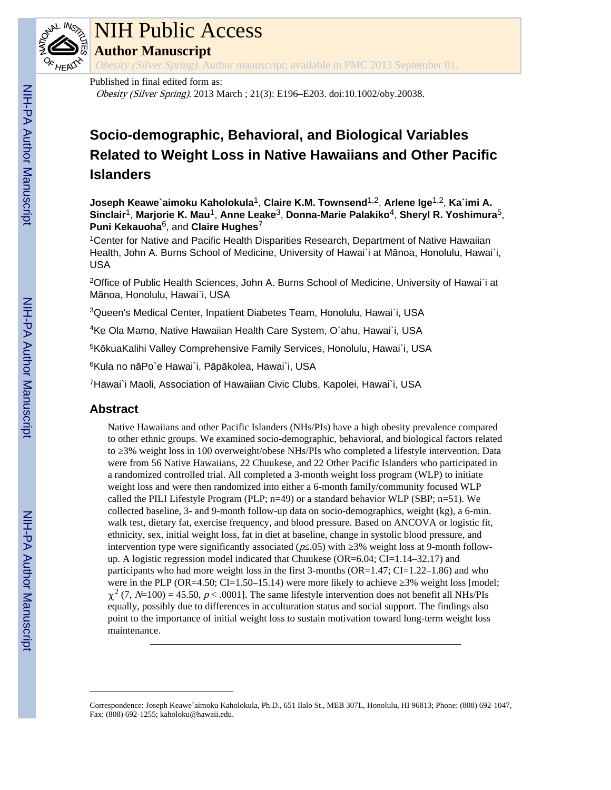

# NIH Public Access

**Author Manuscript**

Obesity (Silver Spring). Author manuscript; available in PMC 2013 September 01.

# Published in final edited form as:

Obesity (Silver Spring). 2013 March ; 21(3): E196–E203. doi:10.1002/oby.20038.

# **Socio-demographic, Behavioral, and Biological Variables Related to Weight Loss in Native Hawaiians and Other Pacific Islanders**

**Joseph Keawe`aimoku Kaholokula**1, **Claire K.M. Townsend**1,2, **Arlene Ige**1,2, **Ka`imi A. Sinclair**1, **Marjorie K. Mau**1, **Anne Leake**3, **Donna-Marie Palakiko**4, **Sheryl R. Yoshimura**5, **Puni Kekauoha**6, and **Claire Hughes**<sup>7</sup>

<sup>1</sup>Center for Native and Pacific Health Disparities Research, Department of Native Hawaiian Health, John A. Burns School of Medicine, University of Hawai`i at Mānoa, Honolulu, Hawai`i, USA

<sup>2</sup>Office of Public Health Sciences, John A. Burns School of Medicine, University of Hawai`i at Mānoa, Honolulu, Hawai`i, USA

<sup>3</sup>Queen's Medical Center, Inpatient Diabetes Team, Honolulu, Hawai`i, USA

<sup>4</sup>Ke Ola Mamo, Native Hawaiian Health Care System, O`ahu, Hawai`i, USA

<sup>5</sup>KōkuaKalihi Valley Comprehensive Family Services, Honolulu, Hawai`i, USA

<sup>6</sup>Kula no nāPo`e Hawai`i, Pāpākolea, Hawai`i, USA

<sup>7</sup>Hawai`i Maoli, Association of Hawaiian Civic Clubs, Kapolei, Hawai`i, USA

# **Abstract**

Native Hawaiians and other Pacific Islanders (NHs/PIs) have a high obesity prevalence compared to other ethnic groups. We examined socio-demographic, behavioral, and biological factors related to 3% weight loss in 100 overweight/obese NHs/PIs who completed a lifestyle intervention. Data were from 56 Native Hawaiians, 22 Chuukese, and 22 Other Pacific Islanders who participated in a randomized controlled trial. All completed a 3-month weight loss program (WLP) to initiate weight loss and were then randomized into either a 6-month family/community focused WLP called the PILI Lifestyle Program (PLP; n=49) or a standard behavior WLP (SBP; n=51). We collected baseline, 3- and 9-month follow-up data on socio-demographics, weight (kg), a 6-min. walk test, dietary fat, exercise frequency, and blood pressure. Based on ANCOVA or logistic fit, ethnicity, sex, initial weight loss, fat in diet at baseline, change in systolic blood pressure, and intervention type were significantly associated ( $p \cdot .05$ ) with 3% weight loss at 9-month followup. A logistic regression model indicated that Chuukese (OR=6.04; CI=1.14–32.17) and participants who had more weight loss in the first 3-months (OR=1.47; CI=1.22-1.86) and who were in the PLP (OR=4.50; CI=1.50–15.14) were more likely to achieve  $3\%$  weight loss [model;  $\chi^2$  (7, N=100) = 45.50, p < .0001]. The same lifestyle intervention does not benefit all NHs/PIs equally, possibly due to differences in acculturation status and social support. The findings also point to the importance of initial weight loss to sustain motivation toward long-term weight loss maintenance.

Correspondence: Joseph Keawe`aimoku Kaholokula, Ph.D., 651 Ilalo St., MEB 307L, Honolulu, HI 96813; Phone: (808) 692-1047, Fax: (808) 692-1255; kaholoku@hawaii.edu.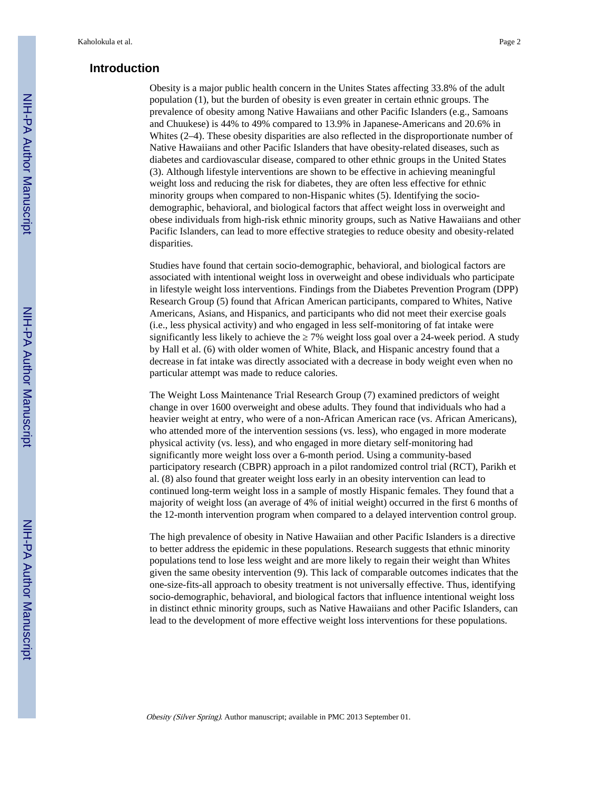# **Introduction**

Obesity is a major public health concern in the Unites States affecting 33.8% of the adult population (1), but the burden of obesity is even greater in certain ethnic groups. The prevalence of obesity among Native Hawaiians and other Pacific Islanders (e.g., Samoans and Chuukese) is 44% to 49% compared to 13.9% in Japanese-Americans and 20.6% in Whites (2–4). These obesity disparities are also reflected in the disproportionate number of Native Hawaiians and other Pacific Islanders that have obesity-related diseases, such as diabetes and cardiovascular disease, compared to other ethnic groups in the United States (3). Although lifestyle interventions are shown to be effective in achieving meaningful weight loss and reducing the risk for diabetes, they are often less effective for ethnic minority groups when compared to non-Hispanic whites (5). Identifying the sociodemographic, behavioral, and biological factors that affect weight loss in overweight and obese individuals from high-risk ethnic minority groups, such as Native Hawaiians and other Pacific Islanders, can lead to more effective strategies to reduce obesity and obesity-related disparities.

Studies have found that certain socio-demographic, behavioral, and biological factors are associated with intentional weight loss in overweight and obese individuals who participate in lifestyle weight loss interventions. Findings from the Diabetes Prevention Program (DPP) Research Group (5) found that African American participants, compared to Whites, Native Americans, Asians, and Hispanics, and participants who did not meet their exercise goals (i.e., less physical activity) and who engaged in less self-monitoring of fat intake were significantly less likely to achieve the 7% weight loss goal over a 24-week period. A study by Hall et al. (6) with older women of White, Black, and Hispanic ancestry found that a decrease in fat intake was directly associated with a decrease in body weight even when no particular attempt was made to reduce calories.

The Weight Loss Maintenance Trial Research Group (7) examined predictors of weight change in over 1600 overweight and obese adults. They found that individuals who had a heavier weight at entry, who were of a non-African American race (vs. African Americans), who attended more of the intervention sessions (vs. less), who engaged in more moderate physical activity (vs. less), and who engaged in more dietary self-monitoring had significantly more weight loss over a 6-month period. Using a community-based participatory research (CBPR) approach in a pilot randomized control trial (RCT), Parikh et al. (8) also found that greater weight loss early in an obesity intervention can lead to continued long-term weight loss in a sample of mostly Hispanic females. They found that a majority of weight loss (an average of 4% of initial weight) occurred in the first 6 months of the 12-month intervention program when compared to a delayed intervention control group.

The high prevalence of obesity in Native Hawaiian and other Pacific Islanders is a directive to better address the epidemic in these populations. Research suggests that ethnic minority populations tend to lose less weight and are more likely to regain their weight than Whites given the same obesity intervention (9). This lack of comparable outcomes indicates that the one-size-fits-all approach to obesity treatment is not universally effective. Thus, identifying socio-demographic, behavioral, and biological factors that influence intentional weight loss in distinct ethnic minority groups, such as Native Hawaiians and other Pacific Islanders, can lead to the development of more effective weight loss interventions for these populations.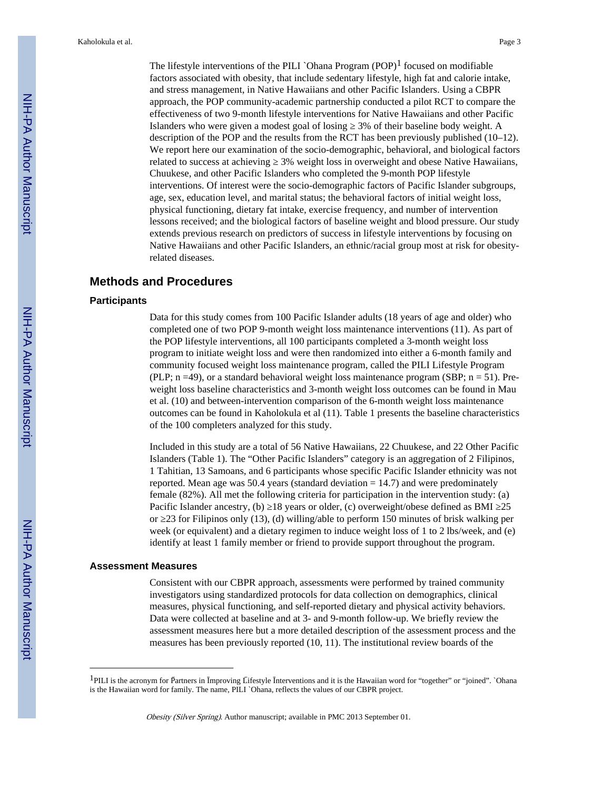The lifestyle interventions of the PILI `Ohana Program  $(POP)^1$  focused on modifiable factors associated with obesity, that include sedentary lifestyle, high fat and calorie intake, and stress management, in Native Hawaiians and other Pacific Islanders. Using a CBPR approach, the POP community-academic partnership conducted a pilot RCT to compare the effectiveness of two 9-month lifestyle interventions for Native Hawaiians and other Pacific Islanders who were given a modest goal of losing 3% of their baseline body weight. A description of the POP and the results from the RCT has been previously published (10–12). We report here our examination of the socio-demographic, behavioral, and biological factors related to success at achieving 2% weight loss in overweight and obese Native Hawaiians, Chuukese, and other Pacific Islanders who completed the 9-month POP lifestyle interventions. Of interest were the socio-demographic factors of Pacific Islander subgroups, age, sex, education level, and marital status; the behavioral factors of initial weight loss, physical functioning, dietary fat intake, exercise frequency, and number of intervention lessons received; and the biological factors of baseline weight and blood pressure. Our study extends previous research on predictors of success in lifestyle interventions by focusing on Native Hawaiians and other Pacific Islanders, an ethnic/racial group most at risk for obesityrelated diseases.

# **Methods and Procedures**

#### **Participants**

Data for this study comes from 100 Pacific Islander adults (18 years of age and older) who completed one of two POP 9-month weight loss maintenance interventions (11). As part of the POP lifestyle interventions, all 100 participants completed a 3-month weight loss program to initiate weight loss and were then randomized into either a 6-month family and community focused weight loss maintenance program, called the PILI Lifestyle Program (PLP;  $n = 49$ ), or a standard behavioral weight loss maintenance program (SBP;  $n = 51$ ). Preweight loss baseline characteristics and 3-month weight loss outcomes can be found in Mau et al. (10) and between-intervention comparison of the 6-month weight loss maintenance outcomes can be found in Kaholokula et al (11). Table 1 presents the baseline characteristics of the 100 completers analyzed for this study.

Included in this study are a total of 56 Native Hawaiians, 22 Chuukese, and 22 Other Pacific Islanders (Table 1). The "Other Pacific Islanders" category is an aggregation of 2 Filipinos, 1 Tahitian, 13 Samoans, and 6 participants whose specific Pacific Islander ethnicity was not reported. Mean age was 50.4 years (standard deviation  $= 14.7$ ) and were predominately female (82%). All met the following criteria for participation in the intervention study: (a) Pacific Islander ancestry, (b) 18 years or older, (c) overweight/obese defined as BMI 25 or 23 for Filipinos only (13), (d) willing/able to perform 150 minutes of brisk walking per week (or equivalent) and a dietary regimen to induce weight loss of 1 to 2 lbs/week, and (e) identify at least 1 family member or friend to provide support throughout the program.

#### **Assessment Measures**

Consistent with our CBPR approach, assessments were performed by trained community investigators using standardized protocols for data collection on demographics, clinical measures, physical functioning, and self-reported dietary and physical activity behaviors. Data were collected at baseline and at 3- and 9-month follow-up. We briefly review the assessment measures here but a more detailed description of the assessment process and the measures has been previously reported (10, 11). The institutional review boards of the

<sup>&</sup>lt;sup>1</sup>PILI is the acronym for Partners in mproving Līfestyle nterventions and it is the Hawaiian word for "together" or "joined". `Ohana is the Hawaiian word for family. The name, PILI `Ohana, reflects the values of our CBPR project.

Obesity (Silver Spring). Author manuscript; available in PMC 2013 September 01.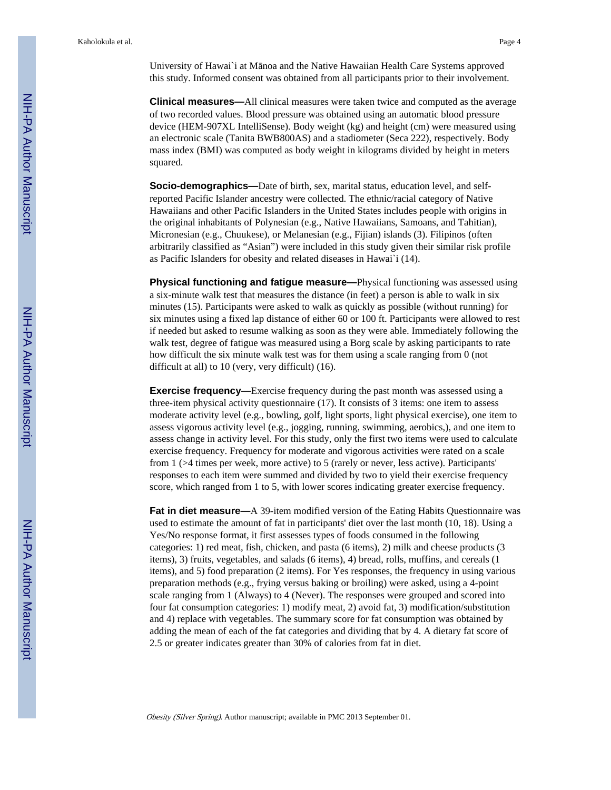University of Hawai`i at M noa and the Native Hawaiian Health Care Systems approved this study. Informed consent was obtained from all participants prior to their involvement.

**Clinical measures—**All clinical measures were taken twice and computed as the average of two recorded values. Blood pressure was obtained using an automatic blood pressure device (HEM-907XL IntelliSense). Body weight (kg) and height (cm) were measured using an electronic scale (Tanita BWB800AS) and a stadiometer (Seca 222), respectively. Body mass index (BMI) was computed as body weight in kilograms divided by height in meters squared.

**Socio-demographics—**Date of birth, sex, marital status, education level, and selfreported Pacific Islander ancestry were collected. The ethnic/racial category of Native Hawaiians and other Pacific Islanders in the United States includes people with origins in the original inhabitants of Polynesian (e.g., Native Hawaiians, Samoans, and Tahitian), Micronesian (e.g., Chuukese), or Melanesian (e.g., Fijian) islands (3). Filipinos (often arbitrarily classified as "Asian") were included in this study given their similar risk profile as Pacific Islanders for obesity and related diseases in Hawai`i (14).

**Physical functioning and fatigue measure—**Physical functioning was assessed using a six-minute walk test that measures the distance (in feet) a person is able to walk in six minutes (15). Participants were asked to walk as quickly as possible (without running) for six minutes using a fixed lap distance of either 60 or 100 ft. Participants were allowed to rest if needed but asked to resume walking as soon as they were able. Immediately following the walk test, degree of fatigue was measured using a Borg scale by asking participants to rate how difficult the six minute walk test was for them using a scale ranging from 0 (not difficult at all) to 10 (very, very difficult) (16).

**Exercise frequency—**Exercise frequency during the past month was assessed using a three-item physical activity questionnaire (17). It consists of 3 items: one item to assess moderate activity level (e.g., bowling, golf, light sports, light physical exercise), one item to assess vigorous activity level (e.g., jogging, running, swimming, aerobics,), and one item to assess change in activity level. For this study, only the first two items were used to calculate exercise frequency. Frequency for moderate and vigorous activities were rated on a scale from 1 (>4 times per week, more active) to 5 (rarely or never, less active). Participants' responses to each item were summed and divided by two to yield their exercise frequency score, which ranged from 1 to 5, with lower scores indicating greater exercise frequency.

**Fat in diet measure—**A 39-item modified version of the Eating Habits Questionnaire was used to estimate the amount of fat in participants' diet over the last month (10, 18). Using a Yes/No response format, it first assesses types of foods consumed in the following categories: 1) red meat, fish, chicken, and pasta (6 items), 2) milk and cheese products (3 items), 3) fruits, vegetables, and salads (6 items), 4) bread, rolls, muffins, and cereals (1 items), and 5) food preparation (2 items). For Yes responses, the frequency in using various preparation methods (e.g., frying versus baking or broiling) were asked, using a 4-point scale ranging from 1 (Always) to 4 (Never). The responses were grouped and scored into four fat consumption categories: 1) modify meat, 2) avoid fat, 3) modification/substitution and 4) replace with vegetables. The summary score for fat consumption was obtained by adding the mean of each of the fat categories and dividing that by 4. A dietary fat score of 2.5 or greater indicates greater than 30% of calories from fat in diet.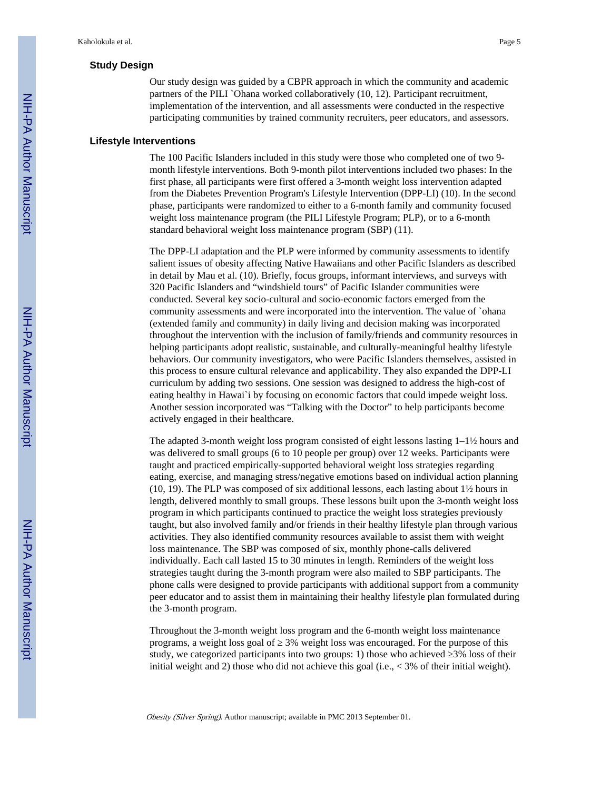# **Study Design**

Our study design was guided by a CBPR approach in which the community and academic partners of the PILI `Ohana worked collaboratively (10, 12). Participant recruitment, implementation of the intervention, and all assessments were conducted in the respective participating communities by trained community recruiters, peer educators, and assessors.

#### **Lifestyle Interventions**

The 100 Pacific Islanders included in this study were those who completed one of two 9 month lifestyle interventions. Both 9-month pilot interventions included two phases: In the first phase, all participants were first offered a 3-month weight loss intervention adapted from the Diabetes Prevention Program's Lifestyle Intervention (DPP-LI) (10). In the second phase, participants were randomized to either to a 6-month family and community focused weight loss maintenance program (the PILI Lifestyle Program; PLP), or to a 6-month standard behavioral weight loss maintenance program (SBP) (11).

The DPP-LI adaptation and the PLP were informed by community assessments to identify salient issues of obesity affecting Native Hawaiians and other Pacific Islanders as described in detail by Mau et al. (10). Briefly, focus groups, informant interviews, and surveys with 320 Pacific Islanders and "windshield tours" of Pacific Islander communities were conducted. Several key socio-cultural and socio-economic factors emerged from the community assessments and were incorporated into the intervention. The value of `ohana (extended family and community) in daily living and decision making was incorporated throughout the intervention with the inclusion of family/friends and community resources in helping participants adopt realistic, sustainable, and culturally-meaningful healthy lifestyle behaviors. Our community investigators, who were Pacific Islanders themselves, assisted in this process to ensure cultural relevance and applicability. They also expanded the DPP-LI curriculum by adding two sessions. One session was designed to address the high-cost of eating healthy in Hawai`i by focusing on economic factors that could impede weight loss. Another session incorporated was "Talking with the Doctor" to help participants become actively engaged in their healthcare.

The adapted 3-month weight loss program consisted of eight lessons lasting  $1-\frac{1}{2}$  hours and was delivered to small groups (6 to 10 people per group) over 12 weeks. Participants were taught and practiced empirically-supported behavioral weight loss strategies regarding eating, exercise, and managing stress/negative emotions based on individual action planning (10, 19). The PLP was composed of six additional lessons, each lasting about 1½ hours in length, delivered monthly to small groups. These lessons built upon the 3-month weight loss program in which participants continued to practice the weight loss strategies previously taught, but also involved family and/or friends in their healthy lifestyle plan through various activities. They also identified community resources available to assist them with weight loss maintenance. The SBP was composed of six, monthly phone-calls delivered individually. Each call lasted 15 to 30 minutes in length. Reminders of the weight loss strategies taught during the 3-month program were also mailed to SBP participants. The phone calls were designed to provide participants with additional support from a community peer educator and to assist them in maintaining their healthy lifestyle plan formulated during the 3-month program.

Throughout the 3-month weight loss program and the 6-month weight loss maintenance programs, a weight loss goal of  $3\%$  weight loss was encouraged. For the purpose of this study, we categorized participants into two groups: 1) those who achieved  $3\%$  loss of their initial weight and 2) those who did not achieve this goal (i.e.,  $\lt$  3% of their initial weight).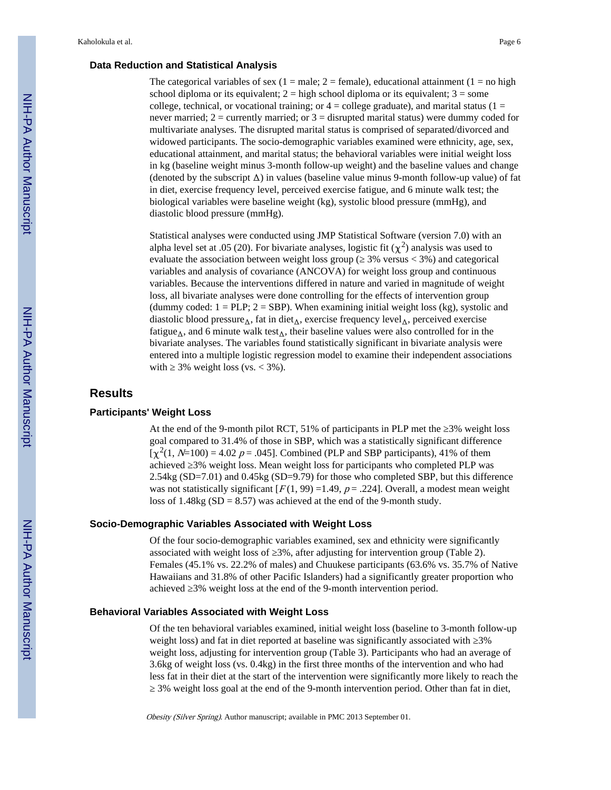# **Data Reduction and Statistical Analysis**

The categorical variables of sex (1 = male; 2 = female), educational attainment (1 = no high school diploma or its equivalent;  $2 =$  high school diploma or its equivalent;  $3 =$  some college, technical, or vocational training; or  $4 =$  college graduate), and marital status ( $1 =$ never married;  $2 =$  currently married; or  $3 =$  disrupted marital status) were dummy coded for multivariate analyses. The disrupted marital status is comprised of separated/divorced and widowed participants. The socio-demographic variables examined were ethnicity, age, sex, educational attainment, and marital status; the behavioral variables were initial weight loss in kg (baseline weight minus 3-month follow-up weight) and the baseline values and change (denoted by the subscript  $\Delta$ ) in values (baseline value minus 9-month follow-up value) of fat in diet, exercise frequency level, perceived exercise fatigue, and 6 minute walk test; the biological variables were baseline weight (kg), systolic blood pressure (mmHg), and diastolic blood pressure (mmHg).

Statistical analyses were conducted using JMP Statistical Software (version 7.0) with an alpha level set at .05 (20). For bivariate analyses, logistic fit  $(\chi^2)$  analysis was used to evaluate the association between weight loss group ( $3\%$  versus < 3%) and categorical variables and analysis of covariance (ANCOVA) for weight loss group and continuous variables. Because the interventions differed in nature and varied in magnitude of weight loss, all bivariate analyses were done controlling for the effects of intervention group (dummy coded:  $1 = PLP$ ;  $2 = SBP$ ). When examining initial weight loss (kg), systolic and diastolic blood pressure<sub> $\Delta$ </sub>, fat in diet<sub> $\Delta$ </sub>, exercise frequency level<sub> $\Delta$ </sub>, perceived exercise fatigue<sub> $\Delta$ </sub>, and 6 minute walk test<sub> $\Delta$ </sub>, their baseline values were also controlled for in the bivariate analyses. The variables found statistically significant in bivariate analysis were entered into a multiple logistic regression model to examine their independent associations with  $3\%$  weight loss (vs. < 3%).

# **Results**

#### **Participants' Weight Loss**

At the end of the 9-month pilot RCT,  $51\%$  of participants in PLP met the  $3\%$  weight loss goal compared to 31.4% of those in SBP, which was a statistically significant difference  $[\chi^2(1, N=100) = 4.02 \ p = .045]$ . Combined (PLP and SBP participants), 41% of them achieved 3% weight loss. Mean weight loss for participants who completed PLP was 2.54kg (SD=7.01) and 0.45kg (SD=9.79) for those who completed SBP, but this difference was not statistically significant  $[F(1, 99) = 1.49, p = .224]$ . Overall, a modest mean weight loss of 1.48kg  $(SD = 8.57)$  was achieved at the end of the 9-month study.

#### **Socio-Demographic Variables Associated with Weight Loss**

Of the four socio-demographic variables examined, sex and ethnicity were significantly associated with weight loss of ≥3%, after adjusting for intervention group (Table 2). Females (45.1% vs. 22.2% of males) and Chuukese participants (63.6% vs. 35.7% of Native Hawaiians and 31.8% of other Pacific Islanders) had a significantly greater proportion who achieved ≥3% weight loss at the end of the 9-month intervention period.

#### **Behavioral Variables Associated with Weight Loss**

Of the ten behavioral variables examined, initial weight loss (baseline to 3-month follow-up weight loss) and fat in diet reported at baseline was significantly associated with  $3\%$ weight loss, adjusting for intervention group (Table 3). Participants who had an average of 3.6kg of weight loss (vs. 0.4kg) in the first three months of the intervention and who had less fat in their diet at the start of the intervention were significantly more likely to reach the ≥ 3% weight loss goal at the end of the 9-month intervention period. Other than fat in diet,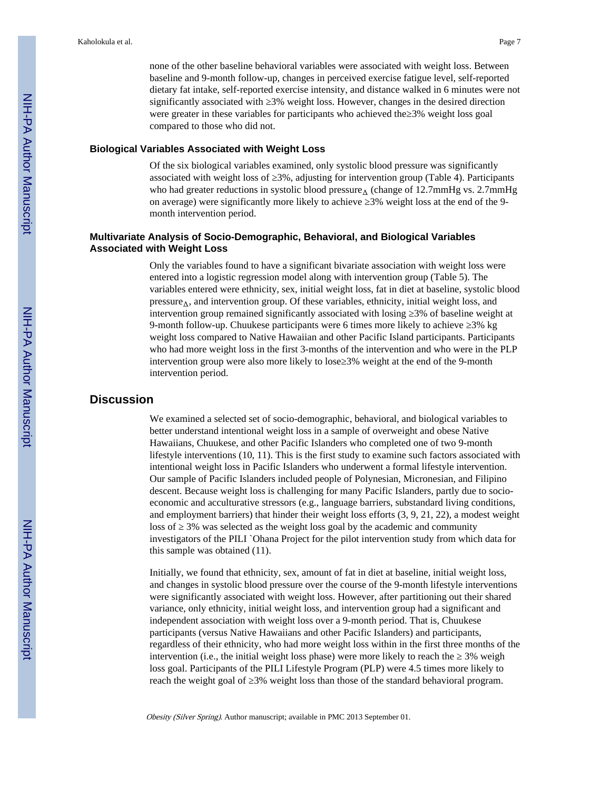none of the other baseline behavioral variables were associated with weight loss. Between baseline and 9-month follow-up, changes in perceived exercise fatigue level, self-reported dietary fat intake, self-reported exercise intensity, and distance walked in 6 minutes were not significantly associated with  $3\%$  weight loss. However, changes in the desired direction were greater in these variables for participants who achieved the 3% weight loss goal compared to those who did not.

#### **Biological Variables Associated with Weight Loss**

Of the six biological variables examined, only systolic blood pressure was significantly associated with weight loss of 3%, adjusting for intervention group (Table 4). Participants who had greater reductions in systolic blood pressure $_\Delta$  (change of 12.7mmHg vs. 2.7mmHg on average) were significantly more likely to achieve 3% weight loss at the end of the 9month intervention period.

# **Multivariate Analysis of Socio-Demographic, Behavioral, and Biological Variables Associated with Weight Loss**

Only the variables found to have a significant bivariate association with weight loss were entered into a logistic regression model along with intervention group (Table 5). The variables entered were ethnicity, sex, initial weight loss, fat in diet at baseline, systolic blood  $pressure_\Lambda$ , and intervention group. Of these variables, ethnicity, initial weight loss, and intervention group remained significantly associated with losing 3% of baseline weight at 9-month follow-up. Chuukese participants were 6 times more likely to achieve  $\frac{3\%}{8}$  kg weight loss compared to Native Hawaiian and other Pacific Island participants. Participants who had more weight loss in the first 3-months of the intervention and who were in the PLP intervention group were also more likely to lose 3% weight at the end of the 9-month intervention period.

# **Discussion**

We examined a selected set of socio-demographic, behavioral, and biological variables to better understand intentional weight loss in a sample of overweight and obese Native Hawaiians, Chuukese, and other Pacific Islanders who completed one of two 9-month lifestyle interventions (10, 11). This is the first study to examine such factors associated with intentional weight loss in Pacific Islanders who underwent a formal lifestyle intervention. Our sample of Pacific Islanders included people of Polynesian, Micronesian, and Filipino descent. Because weight loss is challenging for many Pacific Islanders, partly due to socioeconomic and acculturative stressors (e.g., language barriers, substandard living conditions, and employment barriers) that hinder their weight loss efforts (3, 9, 21, 22), a modest weight loss of 3% was selected as the weight loss goal by the academic and community investigators of the PILI `Ohana Project for the pilot intervention study from which data for this sample was obtained (11).

Initially, we found that ethnicity, sex, amount of fat in diet at baseline, initial weight loss, and changes in systolic blood pressure over the course of the 9-month lifestyle interventions were significantly associated with weight loss. However, after partitioning out their shared variance, only ethnicity, initial weight loss, and intervention group had a significant and independent association with weight loss over a 9-month period. That is, Chuukese participants (versus Native Hawaiians and other Pacific Islanders) and participants, regardless of their ethnicity, who had more weight loss within in the first three months of the intervention (i.e., the initial weight loss phase) were more likely to reach the  $\frac{3}{6}$  weight loss goal. Participants of the PILI Lifestyle Program (PLP) were 4.5 times more likely to reach the weight goal of 3% weight loss than those of the standard behavioral program.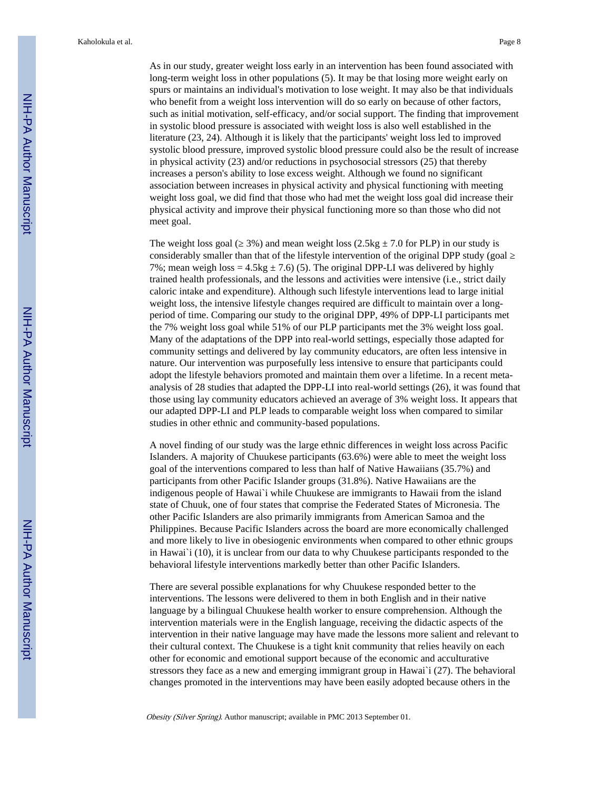As in our study, greater weight loss early in an intervention has been found associated with long-term weight loss in other populations (5). It may be that losing more weight early on spurs or maintains an individual's motivation to lose weight. It may also be that individuals who benefit from a weight loss intervention will do so early on because of other factors, such as initial motivation, self-efficacy, and/or social support. The finding that improvement in systolic blood pressure is associated with weight loss is also well established in the literature (23, 24). Although it is likely that the participants' weight loss led to improved systolic blood pressure, improved systolic blood pressure could also be the result of increase in physical activity (23) and/or reductions in psychosocial stressors (25) that thereby increases a person's ability to lose excess weight. Although we found no significant association between increases in physical activity and physical functioning with meeting weight loss goal, we did find that those who had met the weight loss goal did increase their physical activity and improve their physical functioning more so than those who did not meet goal.

The weight loss goal ( $3\%$ ) and mean weight loss (2.5kg  $\pm$  7.0 for PLP) in our study is considerably smaller than that of the lifestyle intervention of the original DPP study (goal 7%; mean weigh loss =  $4.5$ kg  $\pm$  7.6) (5). The original DPP-LI was delivered by highly trained health professionals, and the lessons and activities were intensive (i.e., strict daily caloric intake and expenditure). Although such lifestyle interventions lead to large initial weight loss, the intensive lifestyle changes required are difficult to maintain over a longperiod of time. Comparing our study to the original DPP, 49% of DPP-LI participants met the 7% weight loss goal while 51% of our PLP participants met the 3% weight loss goal. Many of the adaptations of the DPP into real-world settings, especially those adapted for community settings and delivered by lay community educators, are often less intensive in nature. Our intervention was purposefully less intensive to ensure that participants could adopt the lifestyle behaviors promoted and maintain them over a lifetime. In a recent metaanalysis of 28 studies that adapted the DPP-LI into real-world settings (26), it was found that those using lay community educators achieved an average of 3% weight loss. It appears that our adapted DPP-LI and PLP leads to comparable weight loss when compared to similar studies in other ethnic and community-based populations.

A novel finding of our study was the large ethnic differences in weight loss across Pacific Islanders. A majority of Chuukese participants (63.6%) were able to meet the weight loss goal of the interventions compared to less than half of Native Hawaiians (35.7%) and participants from other Pacific Islander groups (31.8%). Native Hawaiians are the indigenous people of Hawai`i while Chuukese are immigrants to Hawaii from the island state of Chuuk, one of four states that comprise the Federated States of Micronesia. The other Pacific Islanders are also primarily immigrants from American Samoa and the Philippines. Because Pacific Islanders across the board are more economically challenged and more likely to live in obesiogenic environments when compared to other ethnic groups in Hawai`i (10), it is unclear from our data to why Chuukese participants responded to the behavioral lifestyle interventions markedly better than other Pacific Islanders.

There are several possible explanations for why Chuukese responded better to the interventions. The lessons were delivered to them in both English and in their native language by a bilingual Chuukese health worker to ensure comprehension. Although the intervention materials were in the English language, receiving the didactic aspects of the intervention in their native language may have made the lessons more salient and relevant to their cultural context. The Chuukese is a tight knit community that relies heavily on each other for economic and emotional support because of the economic and acculturative stressors they face as a new and emerging immigrant group in Hawai`i (27). The behavioral changes promoted in the interventions may have been easily adopted because others in the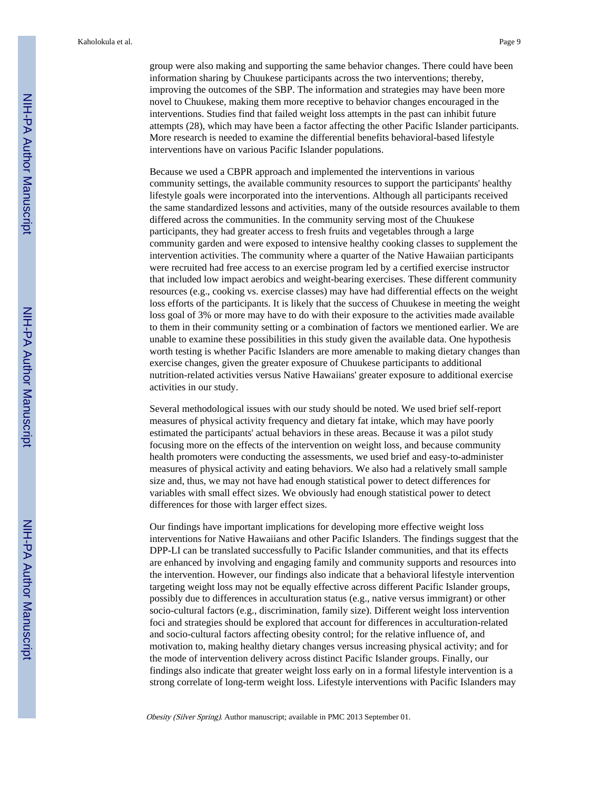group were also making and supporting the same behavior changes. There could have been information sharing by Chuukese participants across the two interventions; thereby, improving the outcomes of the SBP. The information and strategies may have been more novel to Chuukese, making them more receptive to behavior changes encouraged in the interventions. Studies find that failed weight loss attempts in the past can inhibit future attempts (28), which may have been a factor affecting the other Pacific Islander participants. More research is needed to examine the differential benefits behavioral-based lifestyle interventions have on various Pacific Islander populations.

Because we used a CBPR approach and implemented the interventions in various community settings, the available community resources to support the participants' healthy lifestyle goals were incorporated into the interventions. Although all participants received the same standardized lessons and activities, many of the outside resources available to them differed across the communities. In the community serving most of the Chuukese participants, they had greater access to fresh fruits and vegetables through a large community garden and were exposed to intensive healthy cooking classes to supplement the intervention activities. The community where a quarter of the Native Hawaiian participants were recruited had free access to an exercise program led by a certified exercise instructor that included low impact aerobics and weight-bearing exercises. These different community resources (e.g., cooking vs. exercise classes) may have had differential effects on the weight loss efforts of the participants. It is likely that the success of Chuukese in meeting the weight loss goal of 3% or more may have to do with their exposure to the activities made available to them in their community setting or a combination of factors we mentioned earlier. We are unable to examine these possibilities in this study given the available data. One hypothesis worth testing is whether Pacific Islanders are more amenable to making dietary changes than exercise changes, given the greater exposure of Chuukese participants to additional nutrition-related activities versus Native Hawaiians' greater exposure to additional exercise activities in our study.

Several methodological issues with our study should be noted. We used brief self-report measures of physical activity frequency and dietary fat intake, which may have poorly estimated the participants' actual behaviors in these areas. Because it was a pilot study focusing more on the effects of the intervention on weight loss, and because community health promoters were conducting the assessments, we used brief and easy-to-administer measures of physical activity and eating behaviors. We also had a relatively small sample size and, thus, we may not have had enough statistical power to detect differences for variables with small effect sizes. We obviously had enough statistical power to detect differences for those with larger effect sizes.

Our findings have important implications for developing more effective weight loss interventions for Native Hawaiians and other Pacific Islanders. The findings suggest that the DPP-LI can be translated successfully to Pacific Islander communities, and that its effects are enhanced by involving and engaging family and community supports and resources into the intervention. However, our findings also indicate that a behavioral lifestyle intervention targeting weight loss may not be equally effective across different Pacific Islander groups, possibly due to differences in acculturation status (e.g., native versus immigrant) or other socio-cultural factors (e.g., discrimination, family size). Different weight loss intervention foci and strategies should be explored that account for differences in acculturation-related and socio-cultural factors affecting obesity control; for the relative influence of, and motivation to, making healthy dietary changes versus increasing physical activity; and for the mode of intervention delivery across distinct Pacific Islander groups. Finally, our findings also indicate that greater weight loss early on in a formal lifestyle intervention is a strong correlate of long-term weight loss. Lifestyle interventions with Pacific Islanders may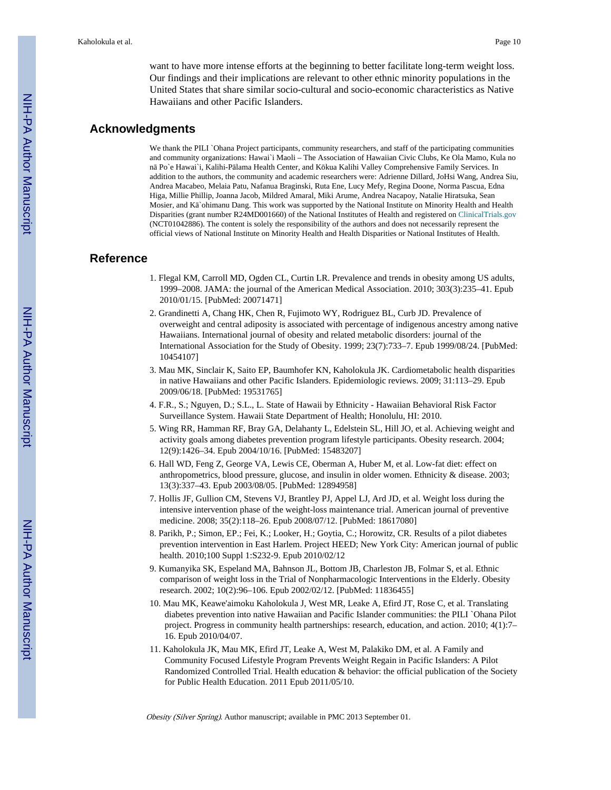want to have more intense efforts at the beginning to better facilitate long-term weight loss. Our findings and their implications are relevant to other ethnic minority populations in the United States that share similar socio-cultural and socio-economic characteristics as Native Hawaiians and other Pacific Islanders.

# **Acknowledgments**

We thank the PILI `Ohana Project participants, community researchers, and staff of the participating communities and community organizations: Hawai`i Maoli – The Association of Hawaiian Civic Clubs, Ke Ola Mamo, Kula no n Po`e Hawai`i, Kalihi-P lama Health Center, and K kua Kalihi Valley Comprehensive Family Services. In addition to the authors, the community and academic researchers were: Adrienne Dillard, JoHsi Wang, Andrea Siu, Andrea Macabeo, Melaia Patu, Nafanua Braginski, Ruta Ene, Lucy Mefy, Regina Doone, Norma Pascua, Edna Higa, Millie Phillip, Joanna Jacob, Mildred Amaral, Miki Arume, Andrea Nacapoy, Natalie Hiratsuka, Sean Mosier, and  $K$  `ohimanu Dang. This work was supported by the National Institute on Minority Health and Health Disparities (grant number R24MD001660) of the National Institutes of Health and registered on [ClinicalTrials.gov](http://ClinicalTrials.gov) (NCT01042886). The content is solely the responsibility of the authors and does not necessarily represent the official views of National Institute on Minority Health and Health Disparities or National Institutes of Health.

# **Reference**

- 1. Flegal KM, Carroll MD, Ogden CL, Curtin LR. Prevalence and trends in obesity among US adults, 1999–2008. JAMA: the journal of the American Medical Association. 2010; 303(3):235–41. Epub 2010/01/15. [PubMed: 20071471]
- 2. Grandinetti A, Chang HK, Chen R, Fujimoto WY, Rodriguez BL, Curb JD. Prevalence of overweight and central adiposity is associated with percentage of indigenous ancestry among native Hawaiians. International journal of obesity and related metabolic disorders: journal of the International Association for the Study of Obesity. 1999; 23(7):733–7. Epub 1999/08/24. [PubMed: 10454107]
- 3. Mau MK, Sinclair K, Saito EP, Baumhofer KN, Kaholokula JK. Cardiometabolic health disparities in native Hawaiians and other Pacific Islanders. Epidemiologic reviews. 2009; 31:113–29. Epub 2009/06/18. [PubMed: 19531765]
- 4. F.R., S.; Nguyen, D.; S.L., L. State of Hawaii by Ethnicity Hawaiian Behavioral Risk Factor Surveillance System. Hawaii State Department of Health; Honolulu, HI: 2010.
- 5. Wing RR, Hamman RF, Bray GA, Delahanty L, Edelstein SL, Hill JO, et al. Achieving weight and activity goals among diabetes prevention program lifestyle participants. Obesity research. 2004; 12(9):1426–34. Epub 2004/10/16. [PubMed: 15483207]
- 6. Hall WD, Feng Z, George VA, Lewis CE, Oberman A, Huber M, et al. Low-fat diet: effect on anthropometrics, blood pressure, glucose, and insulin in older women. Ethnicity & disease. 2003; 13(3):337–43. Epub 2003/08/05. [PubMed: 12894958]
- 7. Hollis JF, Gullion CM, Stevens VJ, Brantley PJ, Appel LJ, Ard JD, et al. Weight loss during the intensive intervention phase of the weight-loss maintenance trial. American journal of preventive medicine. 2008; 35(2):118–26. Epub 2008/07/12. [PubMed: 18617080]
- 8. Parikh, P.; Simon, EP.; Fei, K.; Looker, H.; Goytia, C.; Horowitz, CR. Results of a pilot diabetes prevention intervention in East Harlem. Project HEED; New York City: American journal of public health. 2010;100 Suppl 1:S232-9. Epub 2010/02/12
- 9. Kumanyika SK, Espeland MA, Bahnson JL, Bottom JB, Charleston JB, Folmar S, et al. Ethnic comparison of weight loss in the Trial of Nonpharmacologic Interventions in the Elderly. Obesity research. 2002; 10(2):96–106. Epub 2002/02/12. [PubMed: 11836455]
- 10. Mau MK, Keawe'aimoku Kaholokula J, West MR, Leake A, Efird JT, Rose C, et al. Translating diabetes prevention into native Hawaiian and Pacific Islander communities: the PILI `Ohana Pilot project. Progress in community health partnerships: research, education, and action. 2010; 4(1):7– 16. Epub 2010/04/07.
- 11. Kaholokula JK, Mau MK, Efird JT, Leake A, West M, Palakiko DM, et al. A Family and Community Focused Lifestyle Program Prevents Weight Regain in Pacific Islanders: A Pilot Randomized Controlled Trial. Health education & behavior: the official publication of the Society for Public Health Education. 2011 Epub 2011/05/10.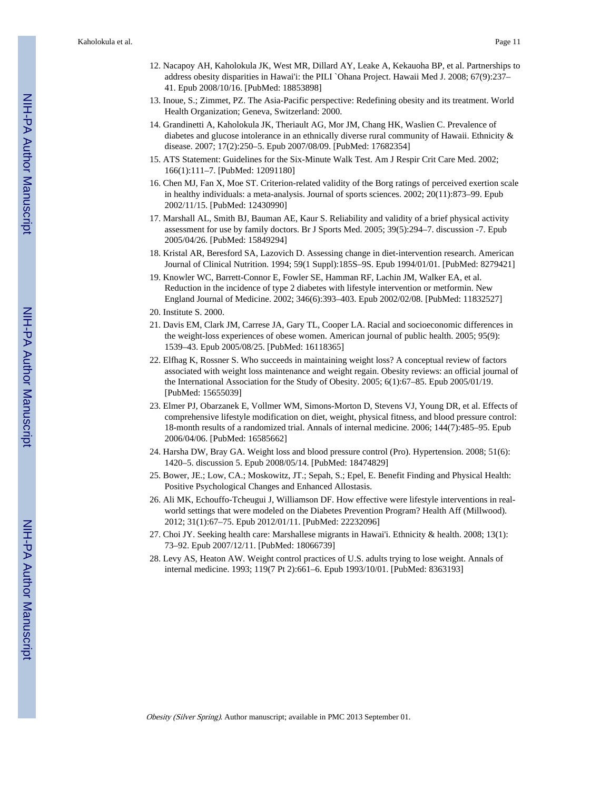- 12. Nacapoy AH, Kaholokula JK, West MR, Dillard AY, Leake A, Kekauoha BP, et al. Partnerships to address obesity disparities in Hawai'i: the PILI `Ohana Project. Hawaii Med J. 2008; 67(9):237– 41. Epub 2008/10/16. [PubMed: 18853898]
- 13. Inoue, S.; Zimmet, PZ. The Asia-Pacific perspective: Redefining obesity and its treatment. World Health Organization; Geneva, Switzerland: 2000.
- 14. Grandinetti A, Kaholokula JK, Theriault AG, Mor JM, Chang HK, Waslien C. Prevalence of diabetes and glucose intolerance in an ethnically diverse rural community of Hawaii. Ethnicity & disease. 2007; 17(2):250–5. Epub 2007/08/09. [PubMed: 17682354]
- 15. ATS Statement: Guidelines for the Six-Minute Walk Test. Am J Respir Crit Care Med. 2002; 166(1):111–7. [PubMed: 12091180]
- 16. Chen MJ, Fan X, Moe ST. Criterion-related validity of the Borg ratings of perceived exertion scale in healthy individuals: a meta-analysis. Journal of sports sciences. 2002; 20(11):873–99. Epub 2002/11/15. [PubMed: 12430990]
- 17. Marshall AL, Smith BJ, Bauman AE, Kaur S. Reliability and validity of a brief physical activity assessment for use by family doctors. Br J Sports Med. 2005; 39(5):294–7. discussion -7. Epub 2005/04/26. [PubMed: 15849294]
- 18. Kristal AR, Beresford SA, Lazovich D. Assessing change in diet-intervention research. American Journal of Clinical Nutrition. 1994; 59(1 Suppl):185S–9S. Epub 1994/01/01. [PubMed: 8279421]
- 19. Knowler WC, Barrett-Connor E, Fowler SE, Hamman RF, Lachin JM, Walker EA, et al. Reduction in the incidence of type 2 diabetes with lifestyle intervention or metformin. New England Journal of Medicine. 2002; 346(6):393–403. Epub 2002/02/08. [PubMed: 11832527]
- 20. Institute S. 2000.
- 21. Davis EM, Clark JM, Carrese JA, Gary TL, Cooper LA. Racial and socioeconomic differences in the weight-loss experiences of obese women. American journal of public health. 2005; 95(9): 1539–43. Epub 2005/08/25. [PubMed: 16118365]
- 22. Elfhag K, Rossner S. Who succeeds in maintaining weight loss? A conceptual review of factors associated with weight loss maintenance and weight regain. Obesity reviews: an official journal of the International Association for the Study of Obesity. 2005; 6(1):67–85. Epub 2005/01/19. [PubMed: 15655039]
- 23. Elmer PJ, Obarzanek E, Vollmer WM, Simons-Morton D, Stevens VJ, Young DR, et al. Effects of comprehensive lifestyle modification on diet, weight, physical fitness, and blood pressure control: 18-month results of a randomized trial. Annals of internal medicine. 2006; 144(7):485–95. Epub 2006/04/06. [PubMed: 16585662]
- 24. Harsha DW, Bray GA. Weight loss and blood pressure control (Pro). Hypertension. 2008; 51(6): 1420–5. discussion 5. Epub 2008/05/14. [PubMed: 18474829]
- 25. Bower, JE.; Low, CA.; Moskowitz, JT.; Sepah, S.; Epel, E. Benefit Finding and Physical Health: Positive Psychological Changes and Enhanced Allostasis.
- 26. Ali MK, Echouffo-Tcheugui J, Williamson DF. How effective were lifestyle interventions in realworld settings that were modeled on the Diabetes Prevention Program? Health Aff (Millwood). 2012; 31(1):67–75. Epub 2012/01/11. [PubMed: 22232096]
- 27. Choi JY. Seeking health care: Marshallese migrants in Hawai'i. Ethnicity & health. 2008; 13(1): 73–92. Epub 2007/12/11. [PubMed: 18066739]
- 28. Levy AS, Heaton AW. Weight control practices of U.S. adults trying to lose weight. Annals of internal medicine. 1993; 119(7 Pt 2):661–6. Epub 1993/10/01. [PubMed: 8363193]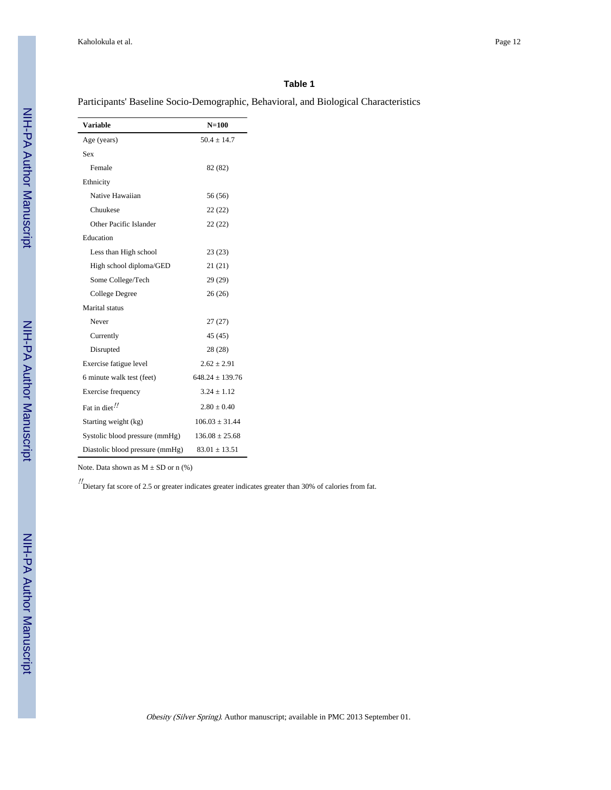Participants' Baseline Socio-Demographic, Behavioral, and Biological Characteristics

| <b>Variable</b>                 | $N=100$             |
|---------------------------------|---------------------|
| Age (years)                     | $50.4 + 14.7$       |
| Sex                             |                     |
| Female                          | 82 (82)             |
| Ethnicity                       |                     |
| Native Hawaiian                 | 56 (56)             |
| Chuukese                        | 22(22)              |
| Other Pacific Islander          | 22(22)              |
| Education                       |                     |
| Less than High school           | 23(23)              |
| High school diploma/GED         | 21 (21)             |
| Some College/Tech               | 29(29)              |
| College Degree                  | 26(26)              |
| Marital status                  |                     |
| Never                           | 27(27)              |
| Currently                       | 45 (45)             |
| Disrupted                       | 28 (28)             |
| Exercise fatigue level          | $2.62 \pm 2.91$     |
| 6 minute walk test (feet)       | $648.24 \pm 139.76$ |
| Exercise frequency              | $3.24 \pm 1.12$     |
| Fat in diet!                    | $2.80 \pm 0.40$     |
| Starting weight (kg)            | $106.03 \pm 31.44$  |
| Systolic blood pressure (mmHg)  | $136.08 \pm 25.68$  |
| Diastolic blood pressure (mmHg) | $83.01 \pm 13.51$   |

Note. Data shown as  $M \pm SD$  or n (%)

!! Dietary fat score of 2.5 or greater indicates greater indicates greater than 30% of calories from fat.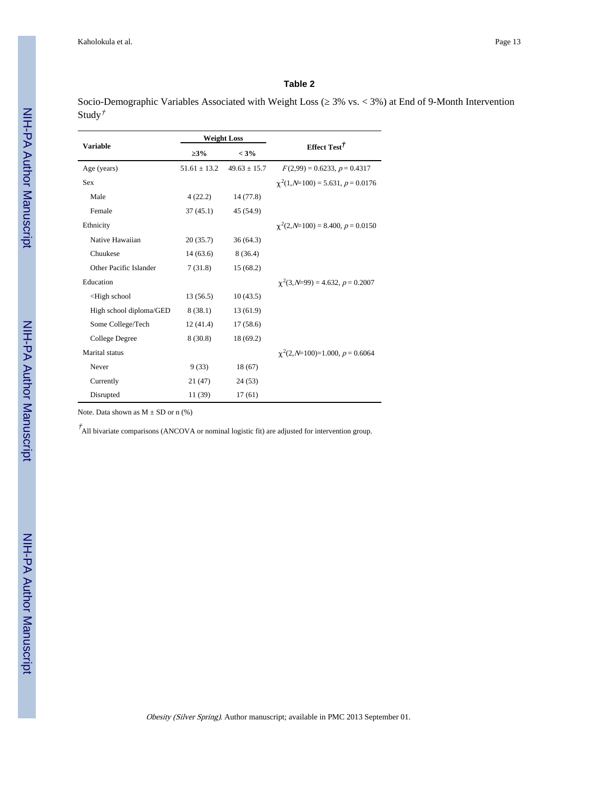Socio-Demographic Variables Associated with Weight Loss (≥ 3% vs. < 3%) at End of 9-Month Intervention Study†

|                                                                           | <b>Weight Loss</b> |                  |                                          |  |
|---------------------------------------------------------------------------|--------------------|------------------|------------------------------------------|--|
| <b>Variable</b>                                                           | 3%                 | $< 3\%$          | Effect Test <sup>†</sup>                 |  |
| Age (years)                                                               | $51.61 \pm 13.2$   | $49.63 \pm 15.7$ | $F(2,99) = 0.6233, p = 0.4317$           |  |
| <b>Sex</b>                                                                |                    |                  | $\gamma^2(1, N=100) = 5.631, p = 0.0176$ |  |
| Male                                                                      | 4(22.2)            | 14 (77.8)        |                                          |  |
| Female                                                                    | 37(45.1)           | 45 (54.9)        |                                          |  |
| Ethnicity                                                                 |                    |                  | $\chi^2(2, N=100) = 8.400, p = 0.0150$   |  |
| Native Hawaiian                                                           | 20(35.7)           | 36(64.3)         |                                          |  |
| Chuukese                                                                  | 14(63.6)           | 8(36.4)          |                                          |  |
| Other Pacific Islander                                                    | 7(31.8)            | 15(68.2)         |                                          |  |
| Education                                                                 |                    |                  | $\chi^2$ (3, N=99) = 4.632, p = 0.2007   |  |
| <high school<="" td=""><td>13(56.5)</td><td>10(43.5)</td><td></td></high> | 13(56.5)           | 10(43.5)         |                                          |  |
| High school diploma/GED                                                   | 8(38.1)            | 13(61.9)         |                                          |  |
| Some College/Tech                                                         | 12(41.4)           | 17(58.6)         |                                          |  |
| College Degree                                                            | 8(30.8)            | 18 (69.2)        |                                          |  |
| Marital status                                                            |                    |                  | $\chi^2(2, N=100)=1.000, p=0.6064$       |  |
| Never                                                                     | 9(33)              | 18(67)           |                                          |  |
| Currently                                                                 | 21(47)             | 24(53)           |                                          |  |
| Disrupted                                                                 | 11 (39)            | 17(61)           |                                          |  |

Note. Data shown as  $M \pm SD$  or n  $(\%)$ 

 $\vec{A}$ All bivariate comparisons (ANCOVA or nominal logistic fit) are adjusted for intervention group.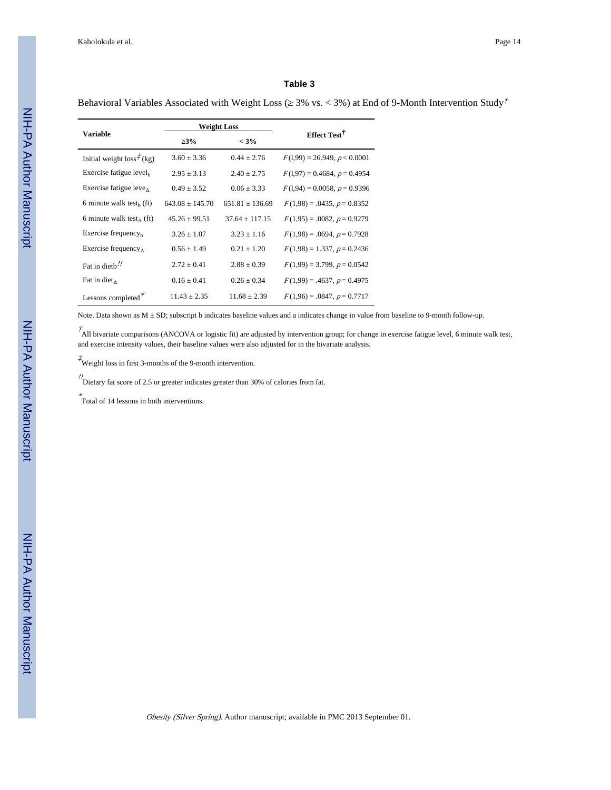Behavioral Variables Associated with Weight Loss ( $3\%$  vs. < 3%) at End of 9-Month Intervention Study<sup>†</sup>

|                                      | <b>Weight Loss</b> |                     |                                  |  |
|--------------------------------------|--------------------|---------------------|----------------------------------|--|
| <b>Variable</b>                      | 3%                 | $< 3\%$             | Effect Test $\ddot{\tau}$        |  |
| Initial weight $loss^{\uparrow}(kg)$ | $3.60 + 3.36$      | $0.44 \pm 2.76$     | $F(1,99) = 26.949, p < 0.0001$   |  |
| Exercise fatigue level <sub>b</sub>  | $2.95 \pm 3.13$    | $2.40 \pm 2.75$     | $F(1,97) = 0.4684, p = 0.4954$   |  |
| Exercise fatigue leve $\Lambda$      | $0.49 + 3.52$      | $0.06 \pm 3.33$     | $F(1,94) = 0.0058, p = 0.9396$   |  |
| 6 minute walk test <sub>b</sub> (ft) | $643.08 + 145.70$  | $651.81 \pm 136.69$ | $F(1,98) = .0435, p = 0.8352$    |  |
| 6 minute walk test, (ft)             | $45.26 + 99.51$    | $37.64 + 117.15$    | $F(1,95) = .0082, p = 0.9279$    |  |
| Exercise frequency $_{h}$            | $3.26 + 1.07$      | $3.23 \pm 1.16$     | $F(1,98) = .0694, p = 0.7928$    |  |
| Exercise frequency $\Lambda$         | $0.56 \pm 1.49$    | $0.21 \pm 1.20$     | $F(1,98) = 1.337, p = 0.2436$    |  |
| Fat in dieth!                        | $2.72 \pm 0.41$    | $2.88 \pm 0.39$     | $F(1,99) = 3.799$ , $p = 0.0542$ |  |
| Fat in diet $\Lambda$                | $0.16 \pm 0.41$    | $0.26 \pm 0.34$     | $F(1,99) = .4637, p = 0.4975$    |  |
| Lessons completed*                   | $11.43 \pm 2.35$   | $11.68 \pm 2.39$    | $F(1,96) = .0847, p = 0.7717$    |  |

Note. Data shown as  $M \pm SD$ ; subscript b indicates baseline values and a indicates change in value from baseline to 9-month follow-up.

 $\vec{A}$ All bivariate comparisons (ANCOVA or logistic fit) are adjusted by intervention group; for change in exercise fatigue level, 6 minute walk test, and exercise intensity values, their baseline values were also adjusted for in the bivariate analysis.

 $\overrightarrow{t}$  Weight loss in first 3-months of the 9-month intervention.

!! Dietary fat score of 2.5 or greater indicates greater than 30% of calories from fat.

\* Total of 14 lessons in both interventions.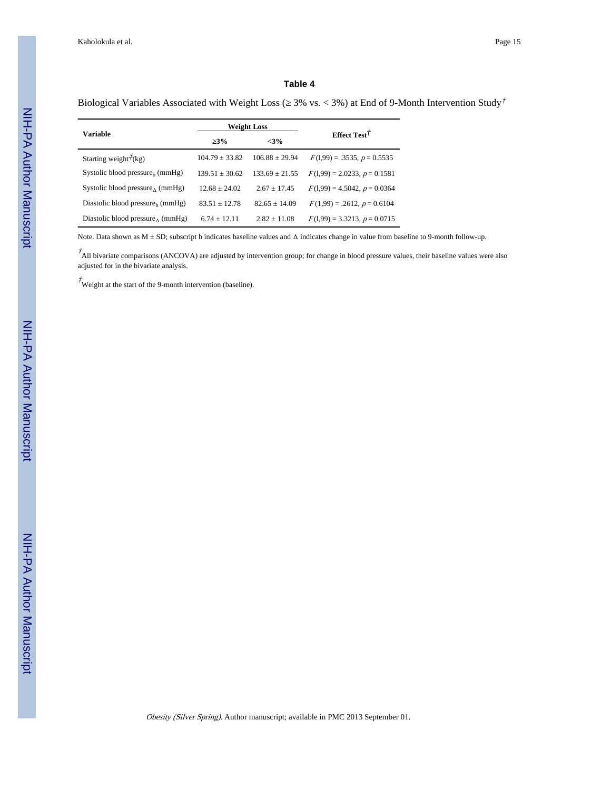Biological Variables Associated with Weight Loss ( $3\%$  vs. < 3%) at End of 9-Month Intervention Study<sup>†</sup>

|                                              | <b>Weight Loss</b> |                    | Effect Test <sup>†</sup>       |  |
|----------------------------------------------|--------------------|--------------------|--------------------------------|--|
| <b>Variable</b>                              | 3%<br>$<3\%$       |                    |                                |  |
| Starting weight $\vec{\tau}$ (kg)            | $104.79 \pm 33.82$ | $106.88 \pm 29.94$ | $F(1,99) = .3535, p = 0.5535$  |  |
| Systolic blood pressure <sub>b</sub> (mmHg)  | $139.51 \pm 30.62$ | $133.69 \pm 21.55$ | $F(1,99) = 2.0233, p = 0.1581$ |  |
| Systolic blood pressure, $(mmHg)$            | $12.68 + 24.02$    | $2.67 \pm 17.45$   | $F(1,99) = 4.5042, p = 0.0364$ |  |
| Diastolic blood pressure <sub>b</sub> (mmHg) | $83.51 \pm 12.78$  | $82.65 \pm 14.09$  | $F(1,99) = .2612, p = 0.6104$  |  |
| Diastolic blood pressure $\Lambda$ (mmHg)    | $6.74 + 12.11$     | $2.82 \pm 11.08$   | $F(1,99) = 3.3213, p = 0.0715$ |  |

Note. Data shown as M ± SD; subscript b indicates baseline values and Δ indicates change in value from baseline to 9-month follow-up.

 $\dot{A}$  All bivariate comparisons (ANCOVA) are adjusted by intervention group; for change in blood pressure values, their baseline values were also adjusted for in the bivariate analysis.

 $\overrightarrow{t}$  Weight at the start of the 9-month intervention (baseline).